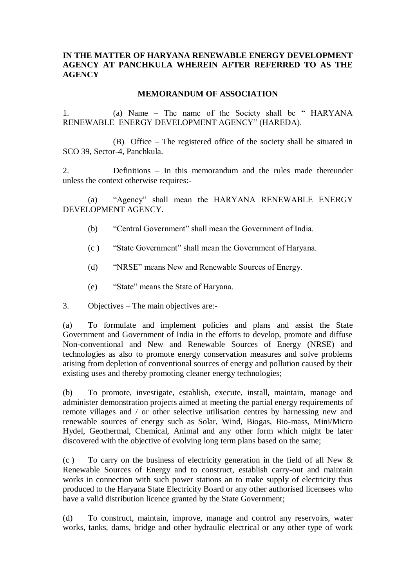### **IN THE MATTER OF HARYANA RENEWABLE ENERGY DEVELOPMENT AGENCY AT PANCHKULA WHEREIN AFTER REFERRED TO AS THE AGENCY**

### **MEMORANDUM OF ASSOCIATION**

1. (a) Name – The name of the Society shall be " HARYANA RENEWABLE ENERGY DEVELOPMENT AGENCY" (HAREDA).

(B) Office – The registered office of the society shall be situated in SCO 39, Sector-4, Panchkula.

2. Definitions – In this memorandum and the rules made thereunder unless the context otherwise requires:-

(a) "Agency" shall mean the HARYANA RENEWABLE ENERGY DEVELOPMENT AGENCY.

- (b) "Central Government" shall mean the Government of India.
- (c ) "State Government" shall mean the Government of Haryana.
- (d) "NRSE" means New and Renewable Sources of Energy.
- (e) "State" means the State of Haryana.

3. Objectives – The main objectives are:-

(a) To formulate and implement policies and plans and assist the State Government and Government of India in the efforts to develop, promote and diffuse Non-conventional and New and Renewable Sources of Energy (NRSE) and technologies as also to promote energy conservation measures and solve problems arising from depletion of conventional sources of energy and pollution caused by their existing uses and thereby promoting cleaner energy technologies;

(b) To promote, investigate, establish, execute, install, maintain, manage and administer demonstration projects aimed at meeting the partial energy requirements of remote villages and / or other selective utilisation centres by harnessing new and renewable sources of energy such as Solar, Wind, Biogas, Bio-mass, Mini/Micro Hydel, Geothermal, Chemical, Animal and any other form which might be later discovered with the objective of evolving long term plans based on the same;

(c) To carry on the business of electricity generation in the field of all New  $\&$ Renewable Sources of Energy and to construct, establish carry-out and maintain works in connection with such power stations an to make supply of electricity thus produced to the Haryana State Electricity Board or any other authorised licensees who have a valid distribution licence granted by the State Government;

(d) To construct, maintain, improve, manage and control any reservoirs, water works, tanks, dams, bridge and other hydraulic electrical or any other type of work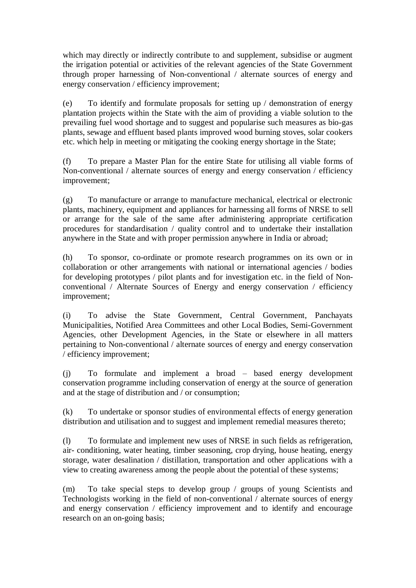which may directly or indirectly contribute to and supplement, subsidise or augment the irrigation potential or activities of the relevant agencies of the State Government through proper harnessing of Non-conventional / alternate sources of energy and energy conservation / efficiency improvement;

(e) To identify and formulate proposals for setting up / demonstration of energy plantation projects within the State with the aim of providing a viable solution to the prevailing fuel wood shortage and to suggest and popularise such measures as bio-gas plants, sewage and effluent based plants improved wood burning stoves, solar cookers etc. which help in meeting or mitigating the cooking energy shortage in the State;

(f) To prepare a Master Plan for the entire State for utilising all viable forms of Non-conventional / alternate sources of energy and energy conservation / efficiency improvement;

(g) To manufacture or arrange to manufacture mechanical, electrical or electronic plants, machinery, equipment and appliances for harnessing all forms of NRSE to sell or arrange for the sale of the same after administering appropriate certification procedures for standardisation / quality control and to undertake their installation anywhere in the State and with proper permission anywhere in India or abroad;

(h) To sponsor, co-ordinate or promote research programmes on its own or in collaboration or other arrangements with national or international agencies / bodies for developing prototypes / pilot plants and for investigation etc. in the field of Nonconventional / Alternate Sources of Energy and energy conservation / efficiency improvement;

(i) To advise the State Government, Central Government, Panchayats Municipalities, Notified Area Committees and other Local Bodies, Semi-Government Agencies, other Development Agencies, in the State or elsewhere in all matters pertaining to Non-conventional / alternate sources of energy and energy conservation / efficiency improvement;

(j) To formulate and implement a broad – based energy development conservation programme including conservation of energy at the source of generation and at the stage of distribution and / or consumption;

(k) To undertake or sponsor studies of environmental effects of energy generation distribution and utilisation and to suggest and implement remedial measures thereto;

(l) To formulate and implement new uses of NRSE in such fields as refrigeration, air- conditioning, water heating, timber seasoning, crop drying, house heating, energy storage, water desalination / distillation, transportation and other applications with a view to creating awareness among the people about the potential of these systems;

(m) To take special steps to develop group / groups of young Scientists and Technologists working in the field of non-conventional / alternate sources of energy and energy conservation / efficiency improvement and to identify and encourage research on an on-going basis;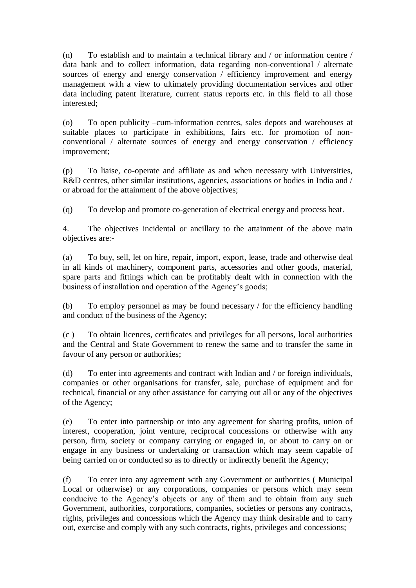(n) To establish and to maintain a technical library and / or information centre / data bank and to collect information, data regarding non-conventional / alternate sources of energy and energy conservation / efficiency improvement and energy management with a view to ultimately providing documentation services and other data including patent literature, current status reports etc. in this field to all those interested;

(o) To open publicity –cum-information centres, sales depots and warehouses at suitable places to participate in exhibitions, fairs etc. for promotion of nonconventional / alternate sources of energy and energy conservation / efficiency improvement;

(p) To liaise, co-operate and affiliate as and when necessary with Universities, R&D centres, other similar institutions, agencies, associations or bodies in India and / or abroad for the attainment of the above objectives;

(q) To develop and promote co-generation of electrical energy and process heat.

4. The objectives incidental or ancillary to the attainment of the above main objectives are:-

(a) To buy, sell, let on hire, repair, import, export, lease, trade and otherwise deal in all kinds of machinery, component parts, accessories and other goods, material, spare parts and fittings which can be profitably dealt with in connection with the business of installation and operation of the Agency's goods;

(b) To employ personnel as may be found necessary / for the efficiency handling and conduct of the business of the Agency;

(c ) To obtain licences, certificates and privileges for all persons, local authorities and the Central and State Government to renew the same and to transfer the same in favour of any person or authorities;

(d) To enter into agreements and contract with Indian and / or foreign individuals, companies or other organisations for transfer, sale, purchase of equipment and for technical, financial or any other assistance for carrying out all or any of the objectives of the Agency;

(e) To enter into partnership or into any agreement for sharing profits, union of interest, cooperation, joint venture, reciprocal concessions or otherwise with any person, firm, society or company carrying or engaged in, or about to carry on or engage in any business or undertaking or transaction which may seem capable of being carried on or conducted so as to directly or indirectly benefit the Agency;

(f) To enter into any agreement with any Government or authorities ( Municipal Local or otherwise) or any corporations, companies or persons which may seem conducive to the Agency's objects or any of them and to obtain from any such Government, authorities, corporations, companies, societies or persons any contracts, rights, privileges and concessions which the Agency may think desirable and to carry out, exercise and comply with any such contracts, rights, privileges and concessions;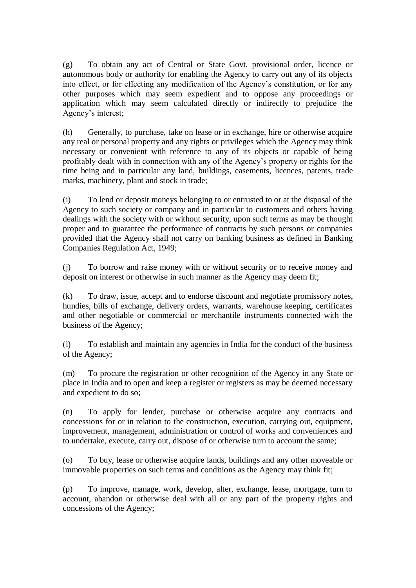(g) To obtain any act of Central or State Govt. provisional order, licence or autonomous body or authority for enabling the Agency to carry out any of its objects into effect, or for effecting any modification of the Agency's constitution, or for any other purposes which may seem expedient and to oppose any proceedings or application which may seem calculated directly or indirectly to prejudice the Agency's interest;

(h) Generally, to purchase, take on lease or in exchange, hire or otherwise acquire any real or personal property and any rights or privileges which the Agency may think necessary or convenient with reference to any of its objects or capable of being profitably dealt with in connection with any of the Agency's property or rights for the time being and in particular any land, buildings, easements, licences, patents, trade marks, machinery, plant and stock in trade;

(i) To lend or deposit moneys belonging to or entrusted to or at the disposal of the Agency to such society or company and in particular to customers and others having dealings with the society with or without security, upon such terms as may be thought proper and to guarantee the performance of contracts by such persons or companies provided that the Agency shall not carry on banking business as defined in Banking Companies Regulation Act, 1949;

(j) To borrow and raise money with or without security or to receive money and deposit on interest or otherwise in such manner as the Agency may deem fit;

(k) To draw, issue, accept and to endorse discount and negotiate promissory notes, hundies, bills of exchange, delivery orders, warrants, warehouse keeping, certificates and other negotiable or commercial or merchantile instruments connected with the business of the Agency;

(l) To establish and maintain any agencies in India for the conduct of the business of the Agency;

(m) To procure the registration or other recognition of the Agency in any State or place in India and to open and keep a register or registers as may be deemed necessary and expedient to do so;

(n) To apply for lender, purchase or otherwise acquire any contracts and concessions for or in relation to the construction, execution, carrying out, equipment, improvement, management, administration or control of works and conveniences and to undertake, execute, carry out, dispose of or otherwise turn to account the same;

(o) To buy, lease or otherwise acquire lands, buildings and any other moveable or immovable properties on such terms and conditions as the Agency may think fit;

(p) To improve, manage, work, develop, alter, exchange, lease, mortgage, turn to account, abandon or otherwise deal with all or any part of the property rights and concessions of the Agency;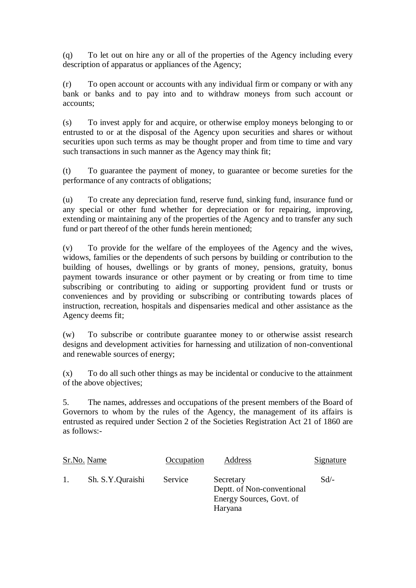(q) To let out on hire any or all of the properties of the Agency including every description of apparatus or appliances of the Agency;

(r) To open account or accounts with any individual firm or company or with any bank or banks and to pay into and to withdraw moneys from such account or accounts;

(s) To invest apply for and acquire, or otherwise employ moneys belonging to or entrusted to or at the disposal of the Agency upon securities and shares or without securities upon such terms as may be thought proper and from time to time and vary such transactions in such manner as the Agency may think fit;

(t) To guarantee the payment of money, to guarantee or become sureties for the performance of any contracts of obligations;

(u) To create any depreciation fund, reserve fund, sinking fund, insurance fund or any special or other fund whether for depreciation or for repairing, improving, extending or maintaining any of the properties of the Agency and to transfer any such fund or part thereof of the other funds herein mentioned;

(v) To provide for the welfare of the employees of the Agency and the wives, widows, families or the dependents of such persons by building or contribution to the building of houses, dwellings or by grants of money, pensions, gratuity, bonus payment towards insurance or other payment or by creating or from time to time subscribing or contributing to aiding or supporting provident fund or trusts or conveniences and by providing or subscribing or contributing towards places of instruction, recreation, hospitals and dispensaries medical and other assistance as the Agency deems fit;

(w) To subscribe or contribute guarantee money to or otherwise assist research designs and development activities for harnessing and utilization of non-conventional and renewable sources of energy;

(x) To do all such other things as may be incidental or conducive to the attainment of the above objectives;

5. The names, addresses and occupations of the present members of the Board of Governors to whom by the rules of the Agency, the management of its affairs is entrusted as required under Section 2 of the Societies Registration Act 21 of 1860 are as follows:-

|    | <u>Sr.No. Name</u> | Occupation | Address                                                                        | <u>Signature</u> |
|----|--------------------|------------|--------------------------------------------------------------------------------|------------------|
| 1. | Sh. S.Y.Quraishi   | Service    | Secretary<br>Deptt. of Non-conventional<br>Energy Sources, Govt. of<br>Haryana | $Sd$ /-          |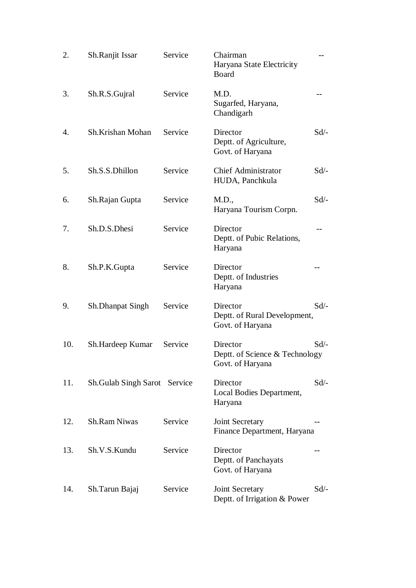| 2.  | Sh.Ranjit Issar                     | Service | Chairman<br>Haryana State Electricity<br>Board                 |         |
|-----|-------------------------------------|---------|----------------------------------------------------------------|---------|
| 3.  | Sh.R.S.Gujral                       | Service | M.D.<br>Sugarfed, Haryana,<br>Chandigarh                       |         |
| 4.  | Sh.Krishan Mohan                    | Service | Director<br>Deptt. of Agriculture,<br>Govt. of Haryana         | $Sd$ /- |
| 5.  | Sh.S.S.Dhillon                      | Service | <b>Chief Administrator</b><br>HUDA, Panchkula                  | $Sd$ /- |
| 6.  | Sh.Rajan Gupta                      | Service | M.D.,<br>Haryana Tourism Corpn.                                | $Sd$ /- |
| 7.  | Sh.D.S.Dhesi                        | Service | Director<br>Deptt. of Pubic Relations,<br>Haryana              |         |
| 8.  | Sh.P.K.Gupta                        | Service | Director<br>Deptt. of Industries<br>Haryana                    |         |
| 9.  | <b>Sh.Dhanpat Singh</b>             | Service | Director<br>Deptt. of Rural Development,<br>Govt. of Haryana   | $Sd$ –  |
| 10. | Sh.Hardeep Kumar                    | Service | Director<br>Deptt. of Science & Technology<br>Govt. of Haryana | $Sd$ /- |
| 11. | <b>Sh.Gulab Singh Sarot</b> Service |         | Director<br>Local Bodies Department,<br>Haryana                | $Sd$ /- |
| 12. | <b>Sh.Ram Niwas</b>                 | Service | Joint Secretary<br>Finance Department, Haryana                 |         |
| 13. | Sh.V.S.Kundu                        | Service | Director<br>Deptt. of Panchayats<br>Govt. of Haryana           |         |
| 14. | Sh.Tarun Bajaj                      | Service | Joint Secretary<br>Deptt. of Irrigation & Power                | $Sd$ /- |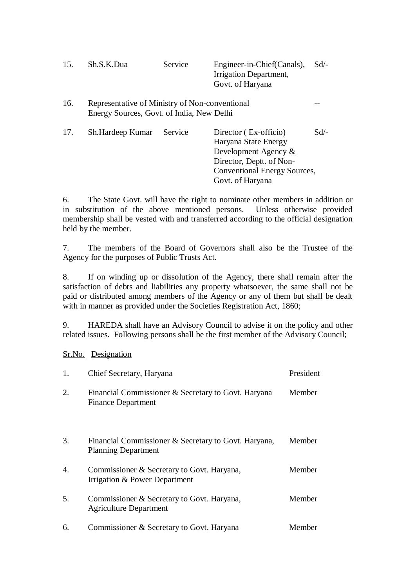| 15. | Sh.S.K.Dua                                                                                  | Service | Engineer-in-Chief (Canals),<br>Irrigation Department,<br>Govt. of Haryana                            | $Sd/-$  |
|-----|---------------------------------------------------------------------------------------------|---------|------------------------------------------------------------------------------------------------------|---------|
| 16. | Representative of Ministry of Non-conventional<br>Energy Sources, Govt. of India, New Delhi |         |                                                                                                      |         |
| 17. | Sh.Hardeep Kumar                                                                            | Service | Director (Ex-officio)<br>Haryana State Energy<br>Development Agency $\&$<br>Director, Deptt. of Non- | $Sd$ /- |

6. The State Govt. will have the right to nominate other members in addition or in substitution of the above mentioned persons. Unless otherwise provided membership shall be vested with and transferred according to the official designation held by the member.

Conventional Energy Sources,

Govt. of Haryana

7. The members of the Board of Governors shall also be the Trustee of the Agency for the purposes of Public Trusts Act.

8. If on winding up or dissolution of the Agency, there shall remain after the satisfaction of debts and liabilities any property whatsoever, the same shall not be paid or distributed among members of the Agency or any of them but shall be dealt with in manner as provided under the Societies Registration Act, 1860;

9. HAREDA shall have an Advisory Council to advise it on the policy and other related issues. Following persons shall be the first member of the Advisory Council;

Sr.No. Designation

| 1. | Chief Secretary, Haryana                                                           | President |
|----|------------------------------------------------------------------------------------|-----------|
| 2. | Financial Commissioner & Secretary to Govt. Haryana<br><b>Finance Department</b>   | Member    |
| 3. | Financial Commissioner & Secretary to Govt. Haryana,<br><b>Planning Department</b> | Member    |
| 4. | Commissioner & Secretary to Govt. Haryana,<br>Irrigation & Power Department        | Member    |
| 5. | Commissioner & Secretary to Govt. Haryana,<br><b>Agriculture Department</b>        | Member    |
| 6. | Commissioner & Secretary to Govt. Haryana                                          | Member    |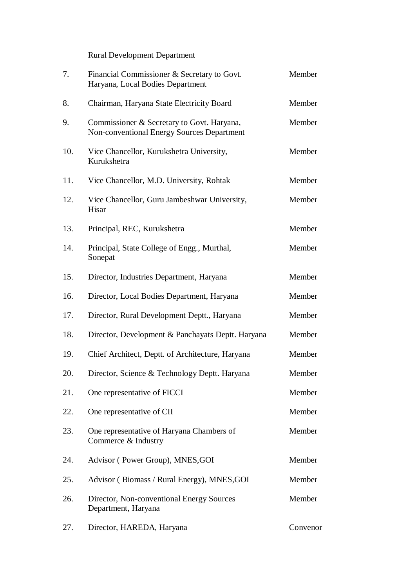Rural Development Department

| 7.  | Financial Commissioner & Secretary to Govt.<br>Haryana, Local Bodies Department          | Member   |
|-----|------------------------------------------------------------------------------------------|----------|
| 8.  | Chairman, Haryana State Electricity Board                                                | Member   |
| 9.  | Commissioner & Secretary to Govt. Haryana,<br>Non-conventional Energy Sources Department | Member   |
| 10. | Vice Chancellor, Kurukshetra University,<br>Kurukshetra                                  | Member   |
| 11. | Vice Chancellor, M.D. University, Rohtak                                                 | Member   |
| 12. | Vice Chancellor, Guru Jambeshwar University,<br>Hisar                                    | Member   |
| 13. | Principal, REC, Kurukshetra                                                              | Member   |
| 14. | Principal, State College of Engg., Murthal,<br>Sonepat                                   | Member   |
| 15. | Director, Industries Department, Haryana                                                 | Member   |
| 16. | Director, Local Bodies Department, Haryana                                               | Member   |
| 17. | Director, Rural Development Deptt., Haryana                                              | Member   |
| 18. | Director, Development & Panchayats Deptt. Haryana                                        | Member   |
| 19. | Chief Architect, Deptt. of Architecture, Haryana                                         | Member   |
| 20. | Director, Science & Technology Deptt. Haryana                                            | Member   |
| 21. | One representative of FICCI                                                              | Member   |
| 22. | One representative of CII                                                                | Member   |
| 23. | One representative of Haryana Chambers of<br>Commerce & Industry                         | Member   |
| 24. | Advisor (Power Group), MNES, GOI                                                         | Member   |
| 25. | Advisor (Biomass / Rural Energy), MNES, GOI                                              | Member   |
| 26. | Director, Non-conventional Energy Sources<br>Department, Haryana                         | Member   |
| 27. | Director, HAREDA, Haryana                                                                | Convenor |
|     |                                                                                          |          |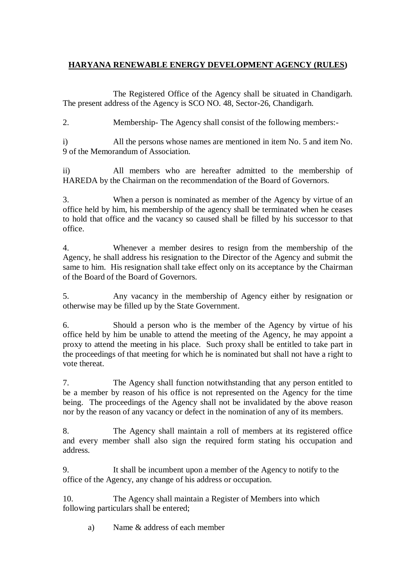## **HARYANA RENEWABLE ENERGY DEVELOPMENT AGENCY (RULES)**

The Registered Office of the Agency shall be situated in Chandigarh. The present address of the Agency is SCO NO. 48, Sector-26, Chandigarh.

2. Membership- The Agency shall consist of the following members:-

i) All the persons whose names are mentioned in item No. 5 and item No. 9 of the Memorandum of Association.

ii) All members who are hereafter admitted to the membership of HAREDA by the Chairman on the recommendation of the Board of Governors.

3. When a person is nominated as member of the Agency by virtue of an office held by him, his membership of the agency shall be terminated when he ceases to hold that office and the vacancy so caused shall be filled by his successor to that office.

4. Whenever a member desires to resign from the membership of the Agency, he shall address his resignation to the Director of the Agency and submit the same to him. His resignation shall take effect only on its acceptance by the Chairman of the Board of the Board of Governors.

5. Any vacancy in the membership of Agency either by resignation or otherwise may be filled up by the State Government.

6. Should a person who is the member of the Agency by virtue of his office held by him be unable to attend the meeting of the Agency, he may appoint a proxy to attend the meeting in his place. Such proxy shall be entitled to take part in the proceedings of that meeting for which he is nominated but shall not have a right to vote thereat.

7. The Agency shall function notwithstanding that any person entitled to be a member by reason of his office is not represented on the Agency for the time being. The proceedings of the Agency shall not be invalidated by the above reason nor by the reason of any vacancy or defect in the nomination of any of its members.

8. The Agency shall maintain a roll of members at its registered office and every member shall also sign the required form stating his occupation and address.

9. It shall be incumbent upon a member of the Agency to notify to the office of the Agency, any change of his address or occupation.

10. The Agency shall maintain a Register of Members into which following particulars shall be entered;

a) Name & address of each member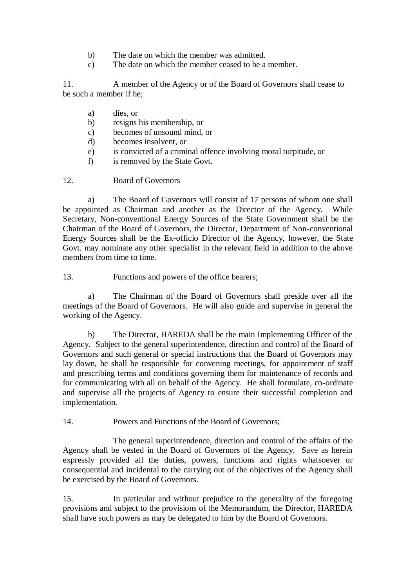- b) The date on which the member was admitted.
- c) The date on which the member ceased to be a member.

11. A member of the Agency or of the Board of Governors shall cease to be such a member if he;

- a) dies, or
- b) resigns his membership, or
- c) becomes of unsound mind, or
- d) becomes insolvent, or
- e) is convicted of a criminal offence involving moral turpitude, or
- f) is removed by the State Govt.
- 12. Board of Governors

a) The Board of Governors will consist of 17 persons of whom one shall be appointed as Chairman and another as the Director of the Agency. While Secretary, Non-conventional Energy Sources of the State Government shall be the Chairman of the Board of Governors, the Director, Department of Non-conventional Energy Sources shall be the Ex-officio Director of the Agency, however, the State Govt. may nominate any other specialist in the relevant field in addition to the above members from time to time.

13. Functions and powers of the office bearers;

a) The Chairman of the Board of Governors shall preside over all the meetings of the Board of Governors. He will also guide and supervise in general the working of the Agency.

b) The Director, HAREDA shall be the main Implementing Officer of the Agency. Subject to the general superintendence, direction and control of the Board of Governors and such general or special instructions that the Board of Governors may lay down, he shall be responsible for convening meetings, for appointment of staff and prescribing terms and conditions governing them for maintenance of records and for communicating with all on behalf of the Agency. He shall formulate, co-ordinate and supervise all the projects of Agency to ensure their successful completion and implementation.

14. Powers and Functions of the Board of Governors;

The general superintendence, direction and control of the affairs of the Agency shall be vested in the Board of Governors of the Agency. Save as herein expressly provided all the duties, powers, functions and rights whatsoever or consequential and incidental to the carrying out of the objectives of the Agency shall be exercised by the Board of Governors.

15. In particular and without prejudice to the generality of the foregoing provisions and subject to the provisions of the Memorandum, the Director, HAREDA shall have such powers as may be delegated to him by the Board of Governors.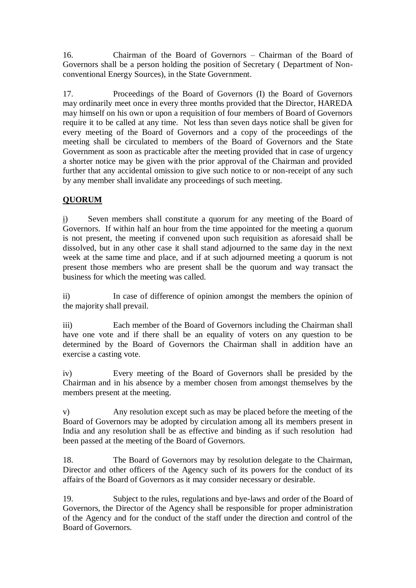16. Chairman of the Board of Governors – Chairman of the Board of Governors shall be a person holding the position of Secretary ( Department of Nonconventional Energy Sources), in the State Government.

17. Proceedings of the Board of Governors (I) the Board of Governors may ordinarily meet once in every three months provided that the Director, HAREDA may himself on his own or upon a requisition of four members of Board of Governors require it to be called at any time. Not less than seven days notice shall be given for every meeting of the Board of Governors and a copy of the proceedings of the meeting shall be circulated to members of the Board of Governors and the State Government as soon as practicable after the meeting provided that in case of urgency a shorter notice may be given with the prior approval of the Chairman and provided further that any accidental omission to give such notice to or non-receipt of any such by any member shall invalidate any proceedings of such meeting.

# **QUORUM**

i) Seven members shall constitute a quorum for any meeting of the Board of Governors. If within half an hour from the time appointed for the meeting a quorum is not present, the meeting if convened upon such requisition as aforesaid shall be dissolved, but in any other case it shall stand adjourned to the same day in the next week at the same time and place, and if at such adjourned meeting a quorum is not present those members who are present shall be the quorum and way transact the business for which the meeting was called.

ii) In case of difference of opinion amongst the members the opinion of the majority shall prevail.

iii) Each member of the Board of Governors including the Chairman shall have one vote and if there shall be an equality of voters on any question to be determined by the Board of Governors the Chairman shall in addition have an exercise a casting vote.

iv) Every meeting of the Board of Governors shall be presided by the Chairman and in his absence by a member chosen from amongst themselves by the members present at the meeting.

v) Any resolution except such as may be placed before the meeting of the Board of Governors may be adopted by circulation among all its members present in India and any resolution shall be as effective and binding as if such resolution had been passed at the meeting of the Board of Governors.

18. The Board of Governors may by resolution delegate to the Chairman, Director and other officers of the Agency such of its powers for the conduct of its affairs of the Board of Governors as it may consider necessary or desirable.

19. Subject to the rules, regulations and bye-laws and order of the Board of Governors, the Director of the Agency shall be responsible for proper administration of the Agency and for the conduct of the staff under the direction and control of the Board of Governors.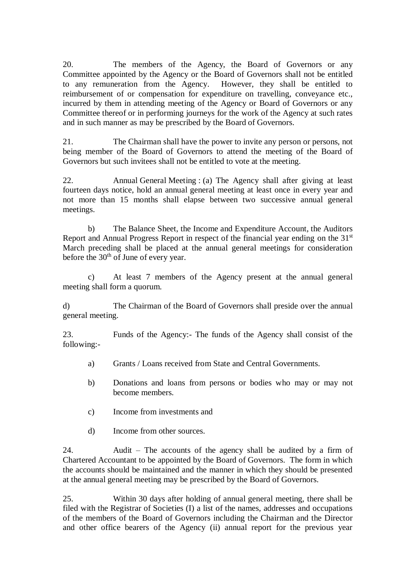20. The members of the Agency, the Board of Governors or any Committee appointed by the Agency or the Board of Governors shall not be entitled to any remuneration from the Agency. However, they shall be entitled to reimbursement of or compensation for expenditure on travelling, conveyance etc., incurred by them in attending meeting of the Agency or Board of Governors or any Committee thereof or in performing journeys for the work of the Agency at such rates and in such manner as may be prescribed by the Board of Governors.

21. The Chairman shall have the power to invite any person or persons, not being member of the Board of Governors to attend the meeting of the Board of Governors but such invitees shall not be entitled to vote at the meeting.

22. Annual General Meeting : (a) The Agency shall after giving at least fourteen days notice, hold an annual general meeting at least once in every year and not more than 15 months shall elapse between two successive annual general meetings.

b) The Balance Sheet, the Income and Expenditure Account, the Auditors Report and Annual Progress Report in respect of the financial year ending on the 31<sup>st</sup> March preceding shall be placed at the annual general meetings for consideration before the  $30<sup>th</sup>$  of June of every year.

c) At least 7 members of the Agency present at the annual general meeting shall form a quorum.

d) The Chairman of the Board of Governors shall preside over the annual general meeting.

23. Funds of the Agency:- The funds of the Agency shall consist of the following:-

- a) Grants / Loans received from State and Central Governments.
- b) Donations and loans from persons or bodies who may or may not become members.
- c) Income from investments and
- d) Income from other sources.

24. Audit – The accounts of the agency shall be audited by a firm of Chartered Accountant to be appointed by the Board of Governors. The form in which the accounts should be maintained and the manner in which they should be presented at the annual general meeting may be prescribed by the Board of Governors.

25. Within 30 days after holding of annual general meeting, there shall be filed with the Registrar of Societies (I) a list of the names, addresses and occupations of the members of the Board of Governors including the Chairman and the Director and other office bearers of the Agency (ii) annual report for the previous year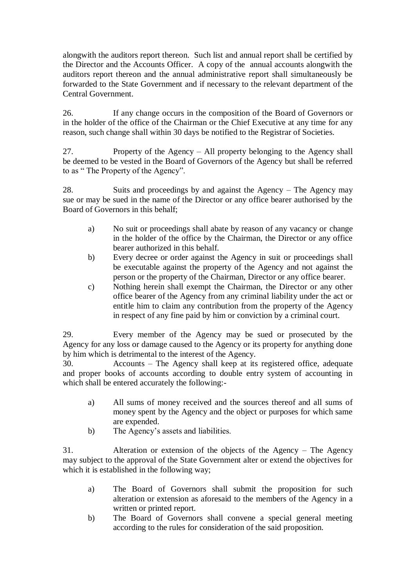alongwith the auditors report thereon. Such list and annual report shall be certified by the Director and the Accounts Officer. A copy of the annual accounts alongwith the auditors report thereon and the annual administrative report shall simultaneously be forwarded to the State Government and if necessary to the relevant department of the Central Government.

26. If any change occurs in the composition of the Board of Governors or in the holder of the office of the Chairman or the Chief Executive at any time for any reason, such change shall within 30 days be notified to the Registrar of Societies.

27. Property of the Agency – All property belonging to the Agency shall be deemed to be vested in the Board of Governors of the Agency but shall be referred to as " The Property of the Agency".

28. Suits and proceedings by and against the Agency – The Agency may sue or may be sued in the name of the Director or any office bearer authorised by the Board of Governors in this behalf;

- a) No suit or proceedings shall abate by reason of any vacancy or change in the holder of the office by the Chairman, the Director or any office bearer authorized in this behalf.
- b) Every decree or order against the Agency in suit or proceedings shall be executable against the property of the Agency and not against the person or the property of the Chairman, Director or any office bearer.
- c) Nothing herein shall exempt the Chairman, the Director or any other office bearer of the Agency from any criminal liability under the act or entitle him to claim any contribution from the property of the Agency in respect of any fine paid by him or conviction by a criminal court.

29. Every member of the Agency may be sued or prosecuted by the Agency for any loss or damage caused to the Agency or its property for anything done by him which is detrimental to the interest of the Agency.

30. Accounts – The Agency shall keep at its registered office, adequate and proper books of accounts according to double entry system of accounting in which shall be entered accurately the following:-

- a) All sums of money received and the sources thereof and all sums of money spent by the Agency and the object or purposes for which same are expended.
- b) The Agency's assets and liabilities.

31. Alteration or extension of the objects of the Agency – The Agency may subject to the approval of the State Government alter or extend the objectives for which it is established in the following way;

- a) The Board of Governors shall submit the proposition for such alteration or extension as aforesaid to the members of the Agency in a written or printed report.
- b) The Board of Governors shall convene a special general meeting according to the rules for consideration of the said proposition.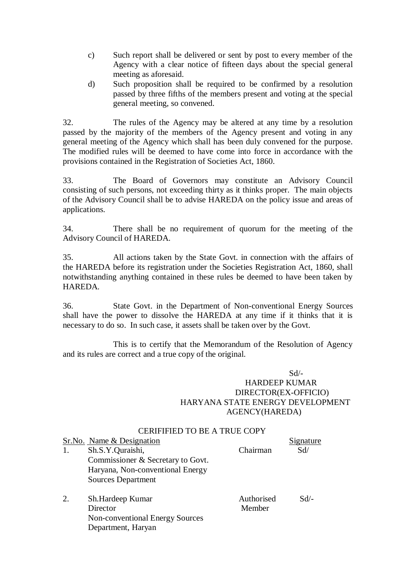- c) Such report shall be delivered or sent by post to every member of the Agency with a clear notice of fifteen days about the special general meeting as aforesaid.
- d) Such proposition shall be required to be confirmed by a resolution passed by three fifths of the members present and voting at the special general meeting, so convened.

32. The rules of the Agency may be altered at any time by a resolution passed by the majority of the members of the Agency present and voting in any general meeting of the Agency which shall has been duly convened for the purpose. The modified rules will be deemed to have come into force in accordance with the provisions contained in the Registration of Societies Act, 1860.

33. The Board of Governors may constitute an Advisory Council consisting of such persons, not exceeding thirty as it thinks proper. The main objects of the Advisory Council shall be to advise HAREDA on the policy issue and areas of applications.

34. There shall be no requirement of quorum for the meeting of the Advisory Council of HAREDA.

35. All actions taken by the State Govt. in connection with the affairs of the HAREDA before its registration under the Societies Registration Act, 1860, shall notwithstanding anything contained in these rules be deemed to have been taken by HAREDA.

36. State Govt. in the Department of Non-conventional Energy Sources shall have the power to dissolve the HAREDA at any time if it thinks that it is necessary to do so. In such case, it assets shall be taken over by the Govt.

This is to certify that the Memorandum of the Resolution of Agency and its rules are correct and a true copy of the original.

Sd/-

## HARDEEP KUMAR DIRECTOR(EX-OFFICIO) HARYANA STATE ENERGY DEVELOPMENT AGENCY(HAREDA)

### CERIFIFIED TO BE A TRUE COPY

|    | Sr.No. Name & Designation              |            | <u>Signature</u> |
|----|----------------------------------------|------------|------------------|
| 1. | Sh.S.Y.Quraishi,                       | Chairman   | Sd/              |
|    | Commissioner & Secretary to Govt.      |            |                  |
|    | Haryana, Non-conventional Energy       |            |                  |
|    | <b>Sources Department</b>              |            |                  |
| 2. | Sh.Hardeep Kumar                       | Authorised | $Sd/-$           |
|    | Director                               | Member     |                  |
|    | <b>Non-conventional Energy Sources</b> |            |                  |
|    | Department, Haryan                     |            |                  |